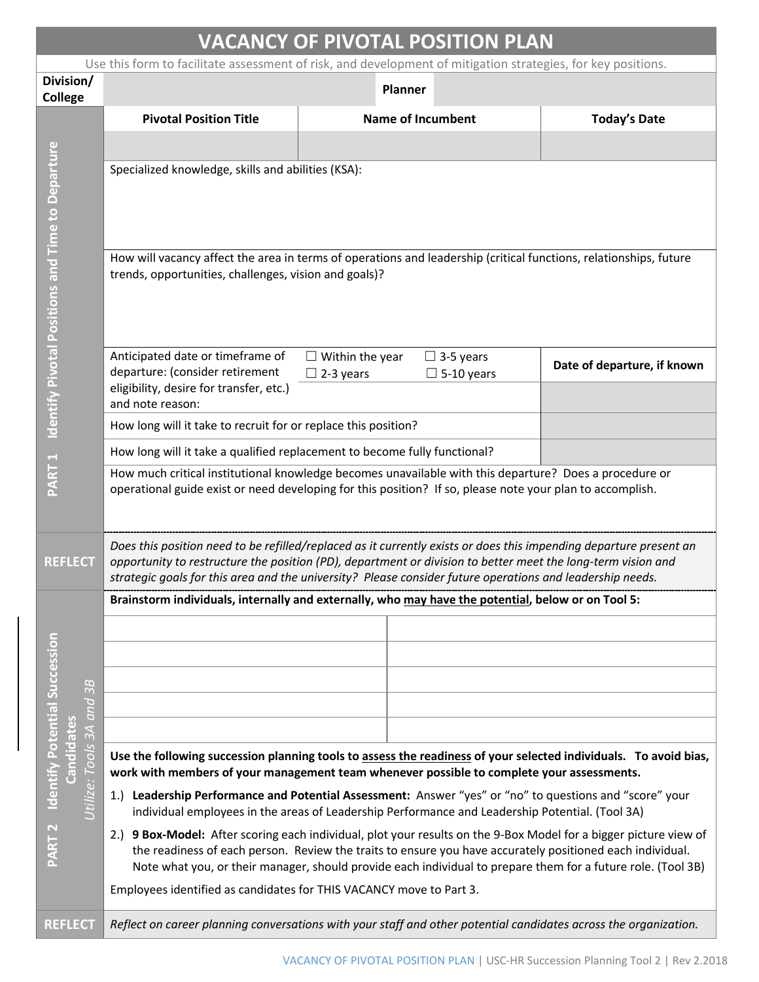| <b>VACANCY OF PIVOTAL POSITION PLAN</b>                                                                      |                                                                                                                                                                                                                                                                                                                                                 |                                            |                                       |                             |  |  |  |  |
|--------------------------------------------------------------------------------------------------------------|-------------------------------------------------------------------------------------------------------------------------------------------------------------------------------------------------------------------------------------------------------------------------------------------------------------------------------------------------|--------------------------------------------|---------------------------------------|-----------------------------|--|--|--|--|
| Use this form to facilitate assessment of risk, and development of mitigation strategies, for key positions. |                                                                                                                                                                                                                                                                                                                                                 |                                            |                                       |                             |  |  |  |  |
| Division/<br><b>College</b>                                                                                  |                                                                                                                                                                                                                                                                                                                                                 | Planner                                    |                                       |                             |  |  |  |  |
|                                                                                                              | <b>Pivotal Position Title</b>                                                                                                                                                                                                                                                                                                                   |                                            | <b>Name of Incumbent</b>              | <b>Today's Date</b>         |  |  |  |  |
|                                                                                                              |                                                                                                                                                                                                                                                                                                                                                 |                                            |                                       |                             |  |  |  |  |
|                                                                                                              | Specialized knowledge, skills and abilities (KSA):                                                                                                                                                                                                                                                                                              |                                            |                                       |                             |  |  |  |  |
| Identify Pivotal Positions and Time to Departure                                                             | How will vacancy affect the area in terms of operations and leadership (critical functions, relationships, future<br>trends, opportunities, challenges, vision and goals)?                                                                                                                                                                      |                                            |                                       |                             |  |  |  |  |
|                                                                                                              | Anticipated date or timeframe of<br>departure: (consider retirement<br>eligibility, desire for transfer, etc.)                                                                                                                                                                                                                                  | $\Box$ Within the year<br>$\Box$ 2-3 years | $\Box$ 3-5 years<br>$\Box$ 5-10 years | Date of departure, if known |  |  |  |  |
|                                                                                                              | and note reason:<br>How long will it take to recruit for or replace this position?                                                                                                                                                                                                                                                              |                                            |                                       |                             |  |  |  |  |
|                                                                                                              | How long will it take a qualified replacement to become fully functional?                                                                                                                                                                                                                                                                       |                                            |                                       |                             |  |  |  |  |
| PART <sub>1</sub>                                                                                            | How much critical institutional knowledge becomes unavailable with this departure? Does a procedure or<br>operational guide exist or need developing for this position? If so, please note your plan to accomplish.                                                                                                                             |                                            |                                       |                             |  |  |  |  |
| <b>REFLECT</b>                                                                                               | Does this position need to be refilled/replaced as it currently exists or does this impending departure present an<br>opportunity to restructure the position (PD), department or division to better meet the long-term vision and<br>strategic goals for this area and the university? Please consider future operations and leadership needs. |                                            |                                       |                             |  |  |  |  |
|                                                                                                              | Brainstorm individuals, internally and externally, who may have the potential, below or on Tool 5:                                                                                                                                                                                                                                              |                                            |                                       |                             |  |  |  |  |
|                                                                                                              |                                                                                                                                                                                                                                                                                                                                                 |                                            |                                       |                             |  |  |  |  |
|                                                                                                              |                                                                                                                                                                                                                                                                                                                                                 |                                            |                                       |                             |  |  |  |  |
| B                                                                                                            |                                                                                                                                                                                                                                                                                                                                                 |                                            |                                       |                             |  |  |  |  |
| $\omega$<br>$\overline{and}$                                                                                 |                                                                                                                                                                                                                                                                                                                                                 |                                            |                                       |                             |  |  |  |  |
| $\overline{3A}$                                                                                              |                                                                                                                                                                                                                                                                                                                                                 |                                            |                                       |                             |  |  |  |  |
| Identify Potential Succession<br>Candidates<br><b>Jtilize: Tools</b>                                         | Use the following succession planning tools to assess the readiness of your selected individuals. To avoid bias,<br>work with members of your management team whenever possible to complete your assessments.                                                                                                                                   |                                            |                                       |                             |  |  |  |  |
|                                                                                                              | 1.) Leadership Performance and Potential Assessment: Answer "yes" or "no" to questions and "score" your<br>individual employees in the areas of Leadership Performance and Leadership Potential. (Tool 3A)                                                                                                                                      |                                            |                                       |                             |  |  |  |  |
| PART <sub>2</sub>                                                                                            | 2.) 9 Box-Model: After scoring each individual, plot your results on the 9-Box Model for a bigger picture view of<br>the readiness of each person. Review the traits to ensure you have accurately positioned each individual.<br>Note what you, or their manager, should provide each individual to prepare them for a future role. (Tool 3B)  |                                            |                                       |                             |  |  |  |  |
|                                                                                                              | Employees identified as candidates for THIS VACANCY move to Part 3.                                                                                                                                                                                                                                                                             |                                            |                                       |                             |  |  |  |  |
| <b>REFLECT</b>                                                                                               | Reflect on career planning conversations with your staff and other potential candidates across the organization.                                                                                                                                                                                                                                |                                            |                                       |                             |  |  |  |  |